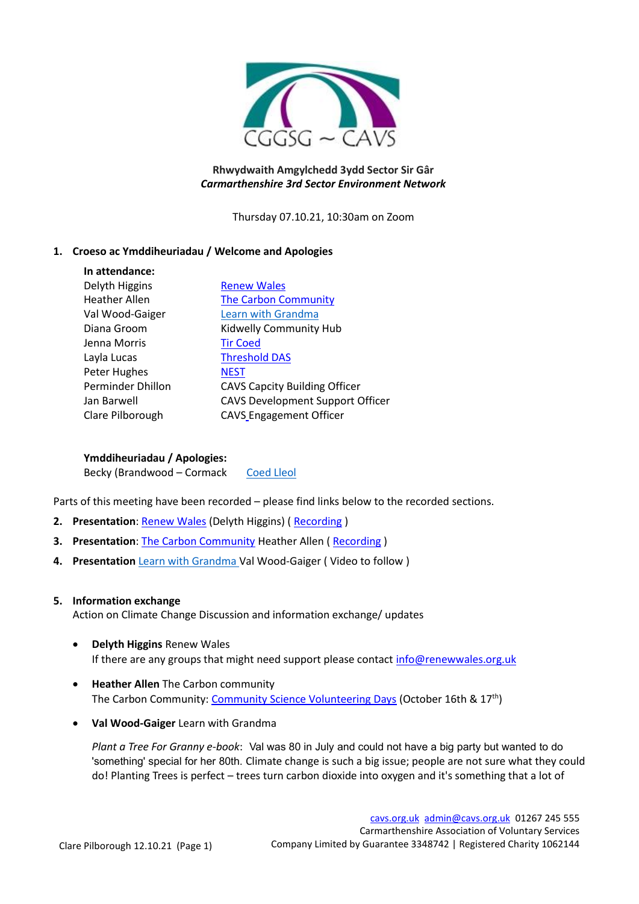

## **Rhwydwaith Amgylchedd 3ydd Sector Sir Gâr** *Carmarthenshire 3rd Sector Environment Network*

Thursday 07.10.21, 10:30am on Zoom

## **1. Croeso ac Ymddiheuriadau / Welcome and Apologies**

| In attendance:       |                                      |
|----------------------|--------------------------------------|
| Delyth Higgins       | <b>Renew Wales</b>                   |
| <b>Heather Allen</b> | <b>The Carbon Community</b>          |
| Val Wood-Gaiger      | Learn with Grandma                   |
| Diana Groom          | Kidwelly Community Hub               |
| Jenna Morris         | <b>Tir Coed</b>                      |
| Layla Lucas          | <b>Threshold DAS</b>                 |
| Peter Hughes         | <b>NEST</b>                          |
| Perminder Dhillon    | <b>CAVS Capcity Building Officer</b> |
| Jan Barwell          | CAVS Development Support Officer     |
| Clare Pilborough     | <b>CAVS_Engagement Officer</b>       |

**Ymddiheuriadau / Apologies:**

Becky (Brandwood – Cormack [Coed Lleol](http://www.coedlleol.org.uk/)

Parts of this meeting have been recorded – please find links below to the recorded sections.

- **2. Presentation: [Renew Wales](https://renewwales.org.uk/) (Delyth Higgins) (Recording)**
- **3. Presentation**: [The Carbon Community](https://www.carboncommunity.org/) Heather Allen ( [Recording](https://youtu.be/EeaIvyPoH4k) )
- **4. Presentation** [Learn with Grandma](https://www.facebook.com/groups/110882709011507/) Val Wood-Gaiger (Video to follow)

#### **5. Information exchange**

Action on Climate Change Discussion and information exchange/ updates

- **Delyth Higgins** Renew Wales If there are any groups that might need support please contact<info@renewwales.org.uk>
- **Heather Allen** The Carbon community The Carbon Community: [Community Science Volunteering Days](https://bit.ly/3Dletxu) (October 16th & 17<sup>th</sup>)
- **Val Wood-Gaiger** Learn with Grandma

*Plant a Tree For Granny e-book*: Val was 80 in July and could not have a big party but wanted to do 'something' special for her 80th. Climate change is such a big issue; people are not sure what they could do! Planting Trees is perfect – trees turn carbon dioxide into oxygen and it's something that a lot of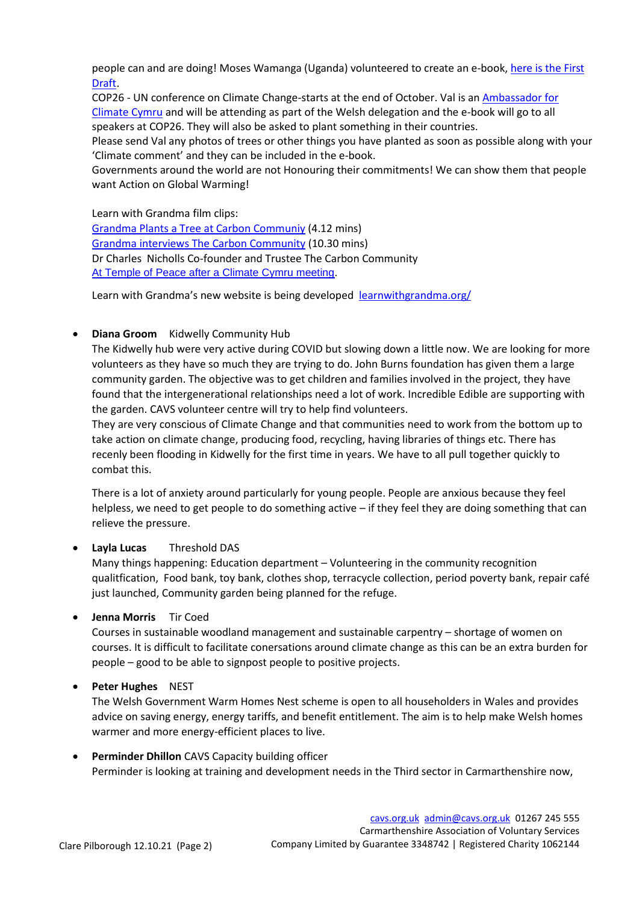people can and are doing! Moses Wamanga (Uganda) volunteered to create an e-book, [here is the First](https://trrhfz4n7rbysgltoru17q-on.drv.tw/Plant_a_tree_for_Granny)  [Draft](https://trrhfz4n7rbysgltoru17q-on.drv.tw/Plant_a_tree_for_Granny).

COP26 - UN conference on Climate Change-starts at the end of October. Val is an [Ambassador for](https://climate.cymru/ambassadors-directory/valerie/)  [Climate Cymru](https://climate.cymru/ambassadors-directory/valerie/) and will be attending as part of the Welsh delegation and the e-book will go to all speakers at COP26. They will also be asked to plant something in their countries.

Please send Val any photos of trees or other things you have planted as soon as possible along with your 'Climate comment' and they can be included in the e-book.

Governments around the world are not Honouring their commitments! We can show them that people want Action on Global Warming!

Learn with Grandma film clips: [Grandma Plants a Tree at Carbon Communiy](https://youtu.be/FMk70Wn6AXQ) (4.12 mins) [Grandma interviews The Carbon Community](https://youtu.be/QSbWMJhAy70) (10.30 mins) Dr Charles Nicholls Co-founder and Trustee The Carbon Community [At Temple of Peace after a Climate Cymru meeting.](https://www.facebook.com/sam.ward.1088/videos/252476576796051)

Learn with Grandma's new website is being developed [learnwithgrandma.org/](http://learnwithgrandma.org/)

## • **Diana Groom** Kidwelly Community Hub

The Kidwelly hub were very active during COVID but slowing down a little now. We are looking for more volunteers as they have so much they are trying to do. John Burns foundation has given them a large community garden. The objective was to get children and families involved in the project, they have found that the intergenerational relationships need a lot of work. Incredible Edible are supporting with the garden. CAVS volunteer centre will try to help find volunteers.

They are very conscious of Climate Change and that communities need to work from the bottom up to take action on climate change, producing food, recycling, having libraries of things etc. There has recenly been flooding in Kidwelly for the first time in years. We have to all pull together quickly to combat this.

There is a lot of anxiety around particularly for young people. People are anxious because they feel helpless, we need to get people to do something active – if they feel they are doing something that can relieve the pressure.

# • **Layla Lucas** Threshold DAS

Many things happening: Education department – Volunteering in the community recognition qualitfication, Food bank, toy bank, clothes shop, terracycle collection, period poverty bank, repair café just launched, Community garden being planned for the refuge.

# • **Jenna Morris** Tir Coed

Courses in sustainable woodland management and sustainable carpentry – shortage of women on courses. It is difficult to facilitate conersations around climate change as this can be an extra burden for people – good to be able to signpost people to positive projects.

# • **Peter Hughes** NEST

The Welsh Government Warm Homes Nest scheme is open to all householders in Wales and provides advice on saving energy, energy tariffs, and benefit entitlement. The aim is to help make Welsh homes warmer and more energy-efficient places to live.

• **Perminder Dhillon** CAVS Capacity building officer Perminder is looking at training and development needs in the Third sector in Carmarthenshire now,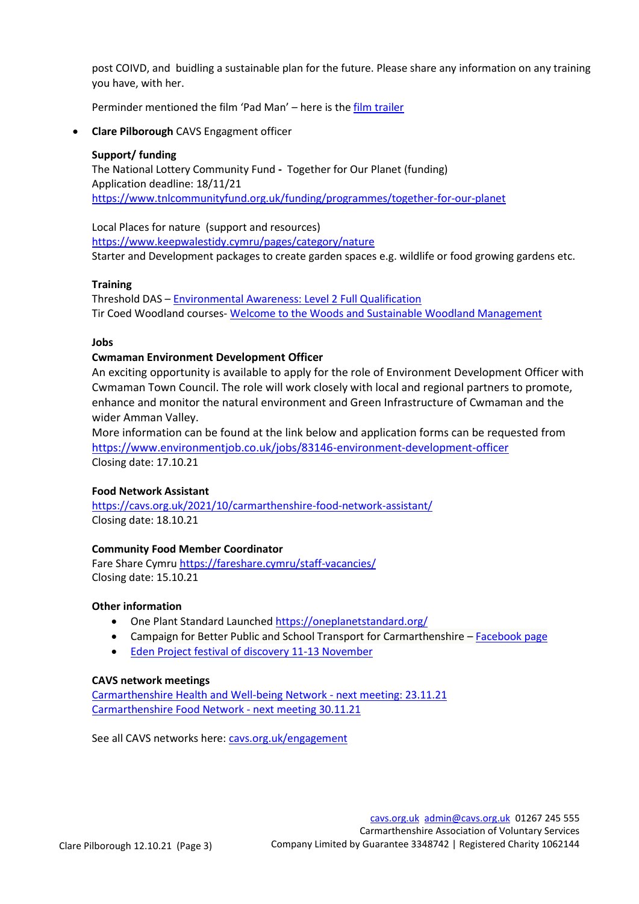post COIVD, and buidling a sustainable plan for the future. Please share any information on any training you have, with her.

Perminder mentioned the film 'Pad Man' – here is th[e film trailer](https://www.youtube.com/watch?v=-K9ujx8vO_A) 

• **Clare Pilborough** CAVS Engagment officer

## **Support/ funding**

The National Lottery Community Fund **-** Together for Our Planet (funding) Application deadline: 18/11/21 <https://www.tnlcommunityfund.org.uk/funding/programmes/together-for-our-planet>

Local Places for nature (support and resources) <https://www.keepwalestidy.cymru/pages/category/nature> Starter and Development packages to create garden spaces e.g. wildlife or food growing gardens etc.

## **Training**

Threshold DAS – [Environmental Awareness: Level 2 Full Qualification](https://threshold-das.org.uk/accredited-courses-on-offer/) Tir Coed Woodland courses- Welcome to the Woods [and Sustainable Woodland Management](https://cavs.org.uk/wp-content/uploads/2021/10/Bi-CAR-WW-SWM-2021.pdf)

#### **Jobs**

## **Cwmaman Environment Development Officer**

An exciting opportunity is available to apply for the role of Environment Development Officer with Cwmaman Town Council. The role will work closely with local and regional partners to promote, enhance and monitor the natural environment and Green Infrastructure of Cwmaman and the wider Amman Valley.

More information can be found at the link below and application forms can be requested from <https://www.environmentjob.co.uk/jobs/83146-environment-development-officer> Closing date: 17.10.21

#### **Food Network Assistant**

<https://cavs.org.uk/2021/10/carmarthenshire-food-network-assistant/> Closing date: 18.10.21

# **Community Food Member Coordinator**

Fare Share Cymr[u https://fareshare.cymru/staff-vacancies/](https://fareshare.cymru/staff-vacancies/) Closing date: 15.10.21

### **Other information**

- One Plant Standard Launche[d https://oneplanetstandard.org/](https://oneplanetstandard.org/)
- Campaign for Better Public and School Transport for Carmarthenshire [Facebook page](https://www.facebook.com/carms4bettertransport/)
- [Eden Project festival of discovery 11-13 November](https://thefestivalofdiscovery.com/?g4id=6)

#### **CAVS network meetings**

[Carmarthenshire Health and Well-being Network](https://cavs.org.uk/engagement/health-and-well-being-network/) - next meeting: 23.11.21 [Carmarthenshire Food Network](https://cavs.org.uk/engagement/carmarthenshire-food-network/) - next meeting 30.11.21

See all CAVS networks here: [cavs.org.uk/engagement](https://cavs.org.uk/engagement/)